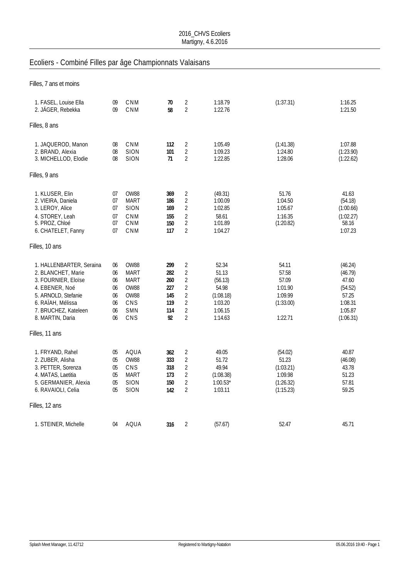## Ecoliers - Combiné Filles par âge Championnats Valaisans

| Filles, 7 ans et moins                                                                                                                                                          |                                                                      |                                                                                |                                                     |                                                                                                                                              |                                                                                  |                                                                       |                                                                                    |
|---------------------------------------------------------------------------------------------------------------------------------------------------------------------------------|----------------------------------------------------------------------|--------------------------------------------------------------------------------|-----------------------------------------------------|----------------------------------------------------------------------------------------------------------------------------------------------|----------------------------------------------------------------------------------|-----------------------------------------------------------------------|------------------------------------------------------------------------------------|
| 1. FASEL, Louise Ella<br>2. JÄGER, Rebekka                                                                                                                                      | 09<br>09                                                             | CNM<br>CNM                                                                     | 70<br>58                                            | $\overline{2}$<br>$\overline{2}$                                                                                                             | 1:18.79<br>1:22.76                                                               | (1:37.31)                                                             | 1:16.25<br>1:21.50                                                                 |
| Filles, 8 ans                                                                                                                                                                   |                                                                      |                                                                                |                                                     |                                                                                                                                              |                                                                                  |                                                                       |                                                                                    |
| 1. JAQUEROD, Manon<br>2. BRAND, Alexia<br>3. MICHELLOD, Elodie                                                                                                                  | 08<br>08<br>08                                                       | CNM<br>SION<br><b>SION</b>                                                     | 112<br>101<br>71                                    | 2<br>$\sqrt{2}$<br>$\overline{2}$                                                                                                            | 1:05.49<br>1:09.23<br>1:22.85                                                    | (1:41.38)<br>1:24.80<br>1:28.06                                       | 1:07.88<br>(1:23.90)<br>(1:22.62)                                                  |
| Filles, 9 ans                                                                                                                                                                   |                                                                      |                                                                                |                                                     |                                                                                                                                              |                                                                                  |                                                                       |                                                                                    |
| 1. KLUSER, Elin<br>2. VIEIRA, Daniela<br>3. LEROY, Alice<br>4. STOREY, Leah<br>5. PROZ, Chloé<br>6. CHATELET, Fanny                                                             | 07<br>07<br>07<br>07<br>07<br>07                                     | OW88<br>MART<br><b>SION</b><br>CNM<br>CNM<br>CNM                               | 369<br>186<br>169<br>155<br>150<br>117              | 2<br>$\sqrt{2}$<br>$\overline{2}$<br>$\overline{2}$<br>$\sqrt{2}$<br>$\overline{2}$                                                          | (49.31)<br>1:00.09<br>1:02.85<br>58.61<br>1:01.89<br>1:04.27                     | 51.76<br>1:04.50<br>1:05.67<br>1:16.35<br>(1:20.82)                   | 41.63<br>(54.18)<br>(1:00.66)<br>(1:02.27)<br>58.16<br>1:07.23                     |
| Filles, 10 ans                                                                                                                                                                  |                                                                      |                                                                                |                                                     |                                                                                                                                              |                                                                                  |                                                                       |                                                                                    |
| 1. HALLENBARTER, Seraina<br>2. BLANCHET, Marie<br>3. FOURNIER, Eloïse<br>4. EBENER, Noé<br>5. ARNOLD, Stefanie<br>6. RAIAH, Mélissa<br>7. BRUCHEZ, Kateleen<br>8. MARTIN, Daria | 06<br>06<br>06<br>06<br>06<br>06<br>06<br>06                         | OW88<br><b>MART</b><br><b>MART</b><br><b>OW88</b><br>OW88<br>CNS<br>SMN<br>CNS | 299<br>282<br>260<br>227<br>145<br>119<br>114<br>92 | $\overline{2}$<br>$\overline{2}$<br>$\overline{c}$<br>$\overline{2}$<br>$\overline{2}$<br>$\overline{2}$<br>$\overline{2}$<br>$\overline{2}$ | 52.34<br>51.13<br>(56.13)<br>54.98<br>(1:08.18)<br>1:03.20<br>1:06.15<br>1:14.63 | 54.11<br>57.58<br>57.09<br>1:01.90<br>1:09.99<br>(1:33.00)<br>1:22.71 | (46.24)<br>(46.79)<br>47.60<br>(54.52)<br>57.25<br>1:08.31<br>1:05.87<br>(1:06.31) |
| Filles, 11 ans                                                                                                                                                                  |                                                                      |                                                                                |                                                     |                                                                                                                                              |                                                                                  |                                                                       |                                                                                    |
| 1. FRYAND, Rahel<br>2. ZUBER, Alisha<br>3. PETTER, Sorenza<br>4. MATAS, Laetitia<br>5. GERMANIER, Alexia<br>6. RAVAIOLI, Celia                                                  | 05<br>05<br>0 <sub>5</sub><br>0 <sub>5</sub><br>0 <sub>5</sub><br>05 | AQUA<br>OW88<br>CNS<br>MART<br><b>SION</b><br>SION                             | 362<br>333<br>318<br>173<br>150<br>142              | $\overline{2}$<br>$\overline{2}$<br>$\sqrt{2}$<br>$\sqrt{2}$<br>$\overline{2}$<br>$\overline{2}$                                             | 49.05<br>51.72<br>49.94<br>(1:08.38)<br>$1:00.53*$<br>1:03.11                    | (54.02)<br>51.23<br>(1:03.21)<br>1:09.98<br>(1:26.32)<br>(1:15.23)    | 40.87<br>(46.08)<br>43.78<br>51.23<br>57.81<br>59.25                               |
| Filles, 12 ans                                                                                                                                                                  |                                                                      |                                                                                |                                                     |                                                                                                                                              |                                                                                  |                                                                       |                                                                                    |
| 1. STEINER, Michelle                                                                                                                                                            | 04                                                                   | AQUA                                                                           | 316                                                 | $\overline{2}$                                                                                                                               | (57.67)                                                                          | 52.47                                                                 | 45.71                                                                              |